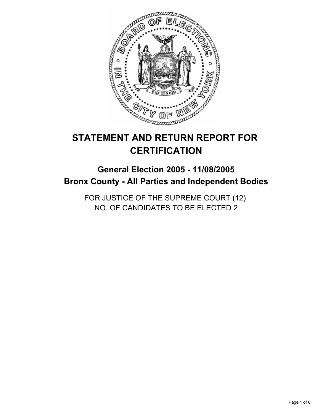

# **STATEMENT AND RETURN REPORT FOR CERTIFICATION**

# **General Election 2005 - 11/08/2005 Bronx County - All Parties and Independent Bodies**

FOR JUSTICE OF THE SUPREME COURT (12) NO. OF CANDIDATES TO BE ELECTED 2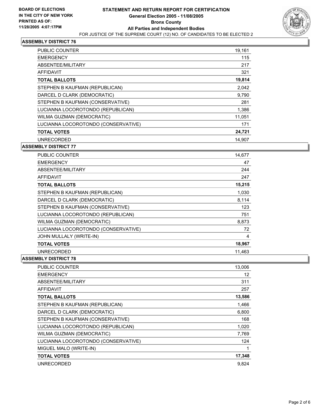

| <b>PUBLIC COUNTER</b>               | 19,161 |
|-------------------------------------|--------|
| <b>EMERGENCY</b>                    | 115    |
| ABSENTEE/MILITARY                   | 217    |
| <b>AFFIDAVIT</b>                    | 321    |
| <b>TOTAL BALLOTS</b>                | 19,814 |
| STEPHEN B KAUFMAN (REPUBLICAN)      | 2,042  |
| DARCEL D CLARK (DEMOCRATIC)         | 9,790  |
| STEPHEN B KAUFMAN (CONSERVATIVE)    | 281    |
| LUCIANNA LOCOROTONDO (REPUBLICAN)   | 1,386  |
| WILMA GUZMAN (DEMOCRATIC)           | 11,051 |
| LUCIANNA LOCOROTONDO (CONSERVATIVE) | 171    |
| <b>TOTAL VOTES</b>                  | 24,721 |
| UNRECORDED                          | 14.907 |

#### **ASSEMBLY DISTRICT 77**

| <b>PUBLIC COUNTER</b>               | 14,677 |
|-------------------------------------|--------|
| <b>EMERGENCY</b>                    | 47     |
| ABSENTEE/MILITARY                   | 244    |
| AFFIDAVIT                           | 247    |
| <b>TOTAL BALLOTS</b>                | 15,215 |
| STEPHEN B KAUFMAN (REPUBLICAN)      | 1,030  |
| DARCEL D CLARK (DEMOCRATIC)         | 8,114  |
| STEPHEN B KAUFMAN (CONSERVATIVE)    | 123    |
| LUCIANNA LOCOROTONDO (REPUBLICAN)   | 751    |
| WILMA GUZMAN (DEMOCRATIC)           | 8,873  |
| LUCIANNA LOCOROTONDO (CONSERVATIVE) | 72     |
| JOHN MULLALY (WRITE-IN)             | 4      |
| <b>TOTAL VOTES</b>                  | 18,967 |
| <b>UNRECORDED</b>                   | 11,463 |

| <b>PUBLIC COUNTER</b>               | 13,006 |
|-------------------------------------|--------|
| <b>EMERGENCY</b>                    | 12     |
| ABSENTEE/MILITARY                   | 311    |
| <b>AFFIDAVIT</b>                    | 257    |
| <b>TOTAL BALLOTS</b>                | 13,586 |
| STEPHEN B KAUFMAN (REPUBLICAN)      | 1,466  |
| DARCEL D CLARK (DEMOCRATIC)         | 6,800  |
| STEPHEN B KAUFMAN (CONSERVATIVE)    | 168    |
| LUCIANNA LOCOROTONDO (REPUBLICAN)   | 1,020  |
| WILMA GUZMAN (DEMOCRATIC)           | 7,769  |
| LUCIANNA LOCOROTONDO (CONSERVATIVE) | 124    |
| MIGUEL MALO (WRITE-IN)              |        |
| <b>TOTAL VOTES</b>                  | 17,348 |
| <b>UNRECORDED</b>                   | 9.824  |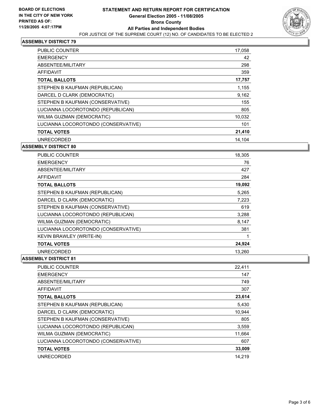

| PUBLIC COUNTER                      | 17,058 |
|-------------------------------------|--------|
| <b>EMERGENCY</b>                    | 42     |
| ABSENTEE/MILITARY                   | 298    |
| <b>AFFIDAVIT</b>                    | 359    |
| <b>TOTAL BALLOTS</b>                | 17,757 |
| STEPHEN B KAUFMAN (REPUBLICAN)      | 1,155  |
| DARCEL D CLARK (DEMOCRATIC)         | 9,162  |
| STEPHEN B KAUFMAN (CONSERVATIVE)    | 155    |
| LUCIANNA LOCOROTONDO (REPUBLICAN)   | 805    |
| WILMA GUZMAN (DEMOCRATIC)           | 10,032 |
| LUCIANNA LOCOROTONDO (CONSERVATIVE) | 101    |
| <b>TOTAL VOTES</b>                  | 21,410 |
| <b>UNRECORDED</b>                   | 14.104 |

#### **ASSEMBLY DISTRICT 80**

| <b>PUBLIC COUNTER</b>               | 18,305 |
|-------------------------------------|--------|
| <b>EMERGENCY</b>                    | 76     |
| ABSENTEE/MILITARY                   | 427    |
| <b>AFFIDAVIT</b>                    | 284    |
| <b>TOTAL BALLOTS</b>                | 19,092 |
| STEPHEN B KAUFMAN (REPUBLICAN)      | 5,265  |
| DARCEL D CLARK (DEMOCRATIC)         | 7,223  |
| STEPHEN B KAUFMAN (CONSERVATIVE)    | 619    |
| LUCIANNA LOCOROTONDO (REPUBLICAN)   | 3,288  |
| WILMA GUZMAN (DEMOCRATIC)           | 8,147  |
| LUCIANNA LOCOROTONDO (CONSERVATIVE) | 381    |
| KEVIN BRAWLEY (WRITE-IN)            |        |
| <b>TOTAL VOTES</b>                  | 24,924 |
| <b>UNRECORDED</b>                   | 13,260 |

| <b>PUBLIC COUNTER</b>               | 22,411 |
|-------------------------------------|--------|
| <b>EMERGENCY</b>                    | 147    |
| ABSENTEE/MILITARY                   | 749    |
| AFFIDAVIT                           | 307    |
| <b>TOTAL BALLOTS</b>                | 23,614 |
| STEPHEN B KAUFMAN (REPUBLICAN)      | 5,430  |
| DARCEL D CLARK (DEMOCRATIC)         | 10,944 |
| STEPHEN B KAUFMAN (CONSERVATIVE)    | 805    |
| LUCIANNA LOCOROTONDO (REPUBLICAN)   | 3,559  |
| WILMA GUZMAN (DEMOCRATIC)           | 11,664 |
| LUCIANNA LOCOROTONDO (CONSERVATIVE) | 607    |
| <b>TOTAL VOTES</b>                  | 33,009 |
| <b>UNRECORDED</b>                   | 14.219 |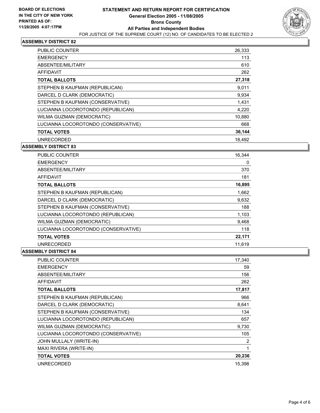

| <b>PUBLIC COUNTER</b>               | 26,333 |
|-------------------------------------|--------|
| <b>EMERGENCY</b>                    | 113    |
| ABSENTEE/MILITARY                   | 610    |
| <b>AFFIDAVIT</b>                    | 262    |
| <b>TOTAL BALLOTS</b>                | 27,318 |
| STEPHEN B KAUFMAN (REPUBLICAN)      | 9,011  |
| DARCEL D CLARK (DEMOCRATIC)         | 9,934  |
| STEPHEN B KAUFMAN (CONSERVATIVE)    | 1,431  |
| LUCIANNA LOCOROTONDO (REPUBLICAN)   | 4,220  |
| WILMA GUZMAN (DEMOCRATIC)           | 10,880 |
| LUCIANNA LOCOROTONDO (CONSERVATIVE) | 668    |
| <b>TOTAL VOTES</b>                  | 36,144 |
| <b>UNRECORDED</b>                   | 18.492 |

#### **ASSEMBLY DISTRICT 83**

| <b>PUBLIC COUNTER</b>               | 16,344 |
|-------------------------------------|--------|
| <b>EMERGENCY</b>                    | 0      |
| ABSENTEE/MILITARY                   | 370    |
| <b>AFFIDAVIT</b>                    | 181    |
| <b>TOTAL BALLOTS</b>                | 16,895 |
| STEPHEN B KAUFMAN (REPUBLICAN)      | 1,662  |
| DARCEL D CLARK (DEMOCRATIC)         | 9,632  |
| STEPHEN B KAUFMAN (CONSERVATIVE)    | 188    |
| LUCIANNA LOCOROTONDO (REPUBLICAN)   | 1,103  |
| <b>WILMA GUZMAN (DEMOCRATIC)</b>    | 9,468  |
| LUCIANNA LOCOROTONDO (CONSERVATIVE) | 118    |
| <b>TOTAL VOTES</b>                  | 22,171 |
| <b>UNRECORDED</b>                   | 11,619 |

| PUBLIC COUNTER                      | 17,340 |
|-------------------------------------|--------|
| <b>EMERGENCY</b>                    | 59     |
| ABSENTEE/MILITARY                   | 156    |
| <b>AFFIDAVIT</b>                    | 262    |
| <b>TOTAL BALLOTS</b>                | 17,817 |
| STEPHEN B KAUFMAN (REPUBLICAN)      | 966    |
| DARCEL D CLARK (DEMOCRATIC)         | 8,641  |
| STEPHEN B KAUFMAN (CONSERVATIVE)    | 134    |
| LUCIANNA LOCOROTONDO (REPUBLICAN)   | 657    |
| WILMA GUZMAN (DEMOCRATIC)           | 9,730  |
| LUCIANNA LOCOROTONDO (CONSERVATIVE) | 105    |
| JOHN MULLALY (WRITE-IN)             | 2      |
| MAXI RIVERA (WRITE-IN)              |        |
| <b>TOTAL VOTES</b>                  | 20,236 |
| <b>UNRECORDED</b>                   | 15,398 |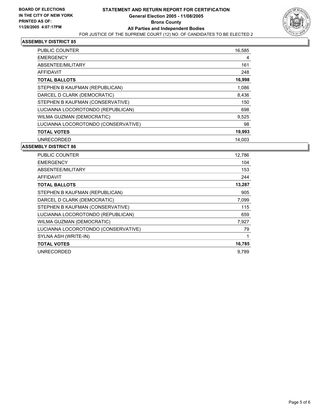

| PUBLIC COUNTER                      | 16,585 |
|-------------------------------------|--------|
| <b>EMERGENCY</b>                    | 4      |
| ABSENTEE/MILITARY                   | 161    |
| AFFIDAVIT                           | 248    |
| <b>TOTAL BALLOTS</b>                | 16,998 |
| STEPHEN B KAUFMAN (REPUBLICAN)      | 1,086  |
| DARCEL D CLARK (DEMOCRATIC)         | 8,436  |
| STEPHEN B KAUFMAN (CONSERVATIVE)    | 150    |
| LUCIANNA LOCOROTONDO (REPUBLICAN)   | 698    |
| WILMA GUZMAN (DEMOCRATIC)           | 9,525  |
| LUCIANNA LOCOROTONDO (CONSERVATIVE) | 98     |
| <b>TOTAL VOTES</b>                  | 19,993 |
| <b>UNRECORDED</b>                   | 14.003 |

| PUBLIC COUNTER                      | 12,786 |
|-------------------------------------|--------|
| <b>EMERGENCY</b>                    | 104    |
| ABSENTEE/MILITARY                   | 153    |
| AFFIDAVIT                           | 244    |
| <b>TOTAL BALLOTS</b>                | 13,287 |
| STEPHEN B KAUFMAN (REPUBLICAN)      | 905    |
| DARCEL D CLARK (DEMOCRATIC)         | 7,099  |
| STEPHEN B KAUFMAN (CONSERVATIVE)    | 115    |
| LUCIANNA LOCOROTONDO (REPUBLICAN)   | 659    |
| WILMA GUZMAN (DEMOCRATIC)           | 7,927  |
| LUCIANNA LOCOROTONDO (CONSERVATIVE) | 79     |
| SYLNA ASH (WRITE-IN)                |        |
| <b>TOTAL VOTES</b>                  | 16,785 |
| UNRECORDED                          | 9.789  |